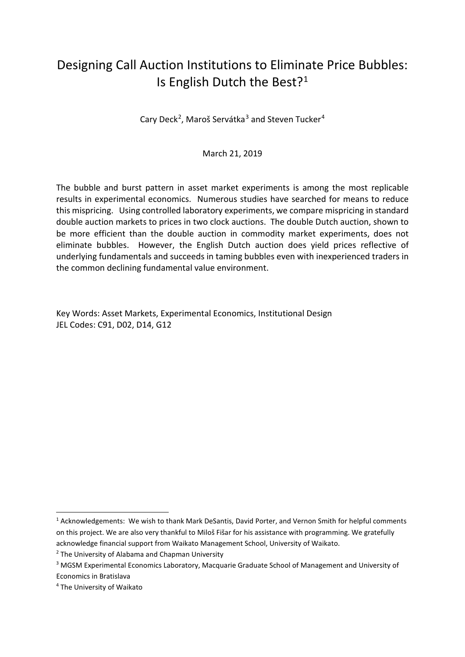# Designing Call Auction Institutions to Eliminate Price Bubbles: Is English Dutch the Best?<sup>[1](#page-0-0)</sup>

Cary Deck<sup>[2](#page-0-1)</sup>, Maroš Servátka<sup>[3](#page-0-2)</sup> and Steven Tucker<sup>[4](#page-0-3)</sup>

March 21, 2019

The bubble and burst pattern in asset market experiments is among the most replicable results in experimental economics. Numerous studies have searched for means to reduce this mispricing. Using controlled laboratory experiments, we compare mispricing in standard double auction markets to prices in two clock auctions. The double Dutch auction, shown to be more efficient than the double auction in commodity market experiments, does not eliminate bubbles. However, the English Dutch auction does yield prices reflective of underlying fundamentals and succeeds in taming bubbles even with inexperienced traders in the common declining fundamental value environment.

Key Words: Asset Markets, Experimental Economics, Institutional Design JEL Codes: C91, D02, D14, G12

<span id="page-0-0"></span><sup>&</sup>lt;sup>1</sup> Acknowledgements: We wish to thank Mark DeSantis, David Porter, and Vernon Smith for helpful comments on this project. We are also very thankful to Miloš Fišar for his assistance with programming. We gratefully acknowledge financial support from Waikato Management School, University of Waikato.

<span id="page-0-1"></span><sup>&</sup>lt;sup>2</sup> The University of Alabama and Chapman University

<span id="page-0-2"></span><sup>&</sup>lt;sup>3</sup> MGSM Experimental Economics Laboratory, Macquarie Graduate School of Management and University of Economics in Bratislava

<span id="page-0-3"></span><sup>4</sup> The University of Waikato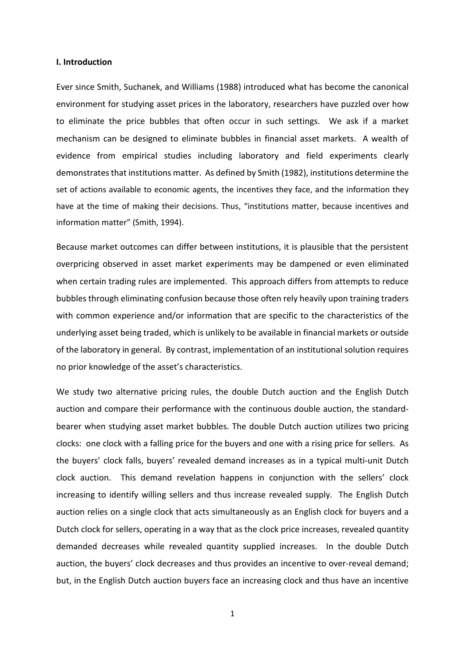#### **I. Introduction**

Ever since Smith, Suchanek, and Williams (1988) introduced what has become the canonical environment for studying asset prices in the laboratory, researchers have puzzled over how to eliminate the price bubbles that often occur in such settings. We ask if a market mechanism can be designed to eliminate bubbles in financial asset markets. A wealth of evidence from empirical studies including laboratory and field experiments clearly demonstrates that institutions matter. As defined by Smith (1982), institutions determine the set of actions available to economic agents, the incentives they face, and the information they have at the time of making their decisions. Thus, "institutions matter, because incentives and information matter" (Smith, 1994).

Because market outcomes can differ between institutions, it is plausible that the persistent overpricing observed in asset market experiments may be dampened or even eliminated when certain trading rules are implemented. This approach differs from attempts to reduce bubbles through eliminating confusion because those often rely heavily upon training traders with common experience and/or information that are specific to the characteristics of the underlying asset being traded, which is unlikely to be available in financial markets or outside of the laboratory in general. By contrast, implementation of an institutional solution requires no prior knowledge of the asset's characteristics.

We study two alternative pricing rules, the double Dutch auction and the English Dutch auction and compare their performance with the continuous double auction, the standardbearer when studying asset market bubbles. The double Dutch auction utilizes two pricing clocks: one clock with a falling price for the buyers and one with a rising price for sellers. As the buyers' clock falls, buyers' revealed demand increases as in a typical multi-unit Dutch clock auction. This demand revelation happens in conjunction with the sellers' clock increasing to identify willing sellers and thus increase revealed supply. The English Dutch auction relies on a single clock that acts simultaneously as an English clock for buyers and a Dutch clock for sellers, operating in a way that as the clock price increases, revealed quantity demanded decreases while revealed quantity supplied increases. In the double Dutch auction, the buyers' clock decreases and thus provides an incentive to over-reveal demand; but, in the English Dutch auction buyers face an increasing clock and thus have an incentive

1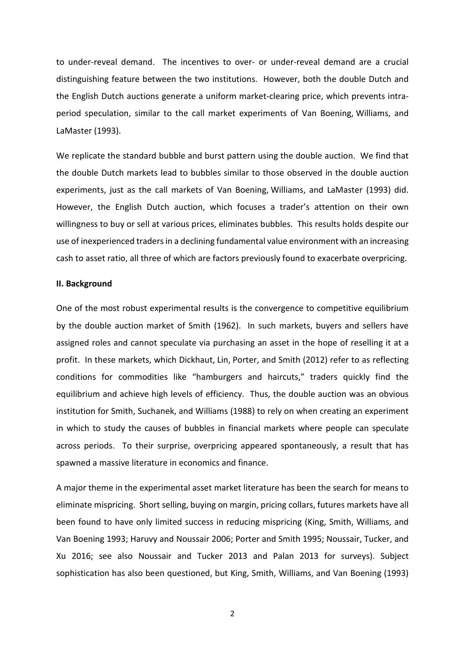to under-reveal demand. The incentives to over- or under-reveal demand are a crucial distinguishing feature between the two institutions. However, both the double Dutch and the English Dutch auctions generate a uniform market-clearing price, which prevents intraperiod speculation, similar to the call market experiments of Van Boening, Williams, and LaMaster (1993).

We replicate the standard bubble and burst pattern using the double auction. We find that the double Dutch markets lead to bubbles similar to those observed in the double auction experiments, just as the call markets of Van Boening, Williams, and LaMaster (1993) did. However, the English Dutch auction, which focuses a trader's attention on their own willingness to buy or sell at various prices, eliminates bubbles. This results holds despite our use of inexperienced traders in a declining fundamental value environment with an increasing cash to asset ratio, all three of which are factors previously found to exacerbate overpricing.

#### **II. Background**

One of the most robust experimental results is the convergence to competitive equilibrium by the double auction market of Smith (1962). In such markets, buyers and sellers have assigned roles and cannot speculate via purchasing an asset in the hope of reselling it at a profit. In these markets, which Dickhaut, Lin, Porter, and Smith (2012) refer to as reflecting conditions for commodities like "hamburgers and haircuts," traders quickly find the equilibrium and achieve high levels of efficiency. Thus, the double auction was an obvious institution for Smith, Suchanek, and Williams (1988) to rely on when creating an experiment in which to study the causes of bubbles in financial markets where people can speculate across periods. To their surprise, overpricing appeared spontaneously, a result that has spawned a massive literature in economics and finance.

A major theme in the experimental asset market literature has been the search for means to eliminate mispricing. Short selling, buying on margin, pricing collars, futures markets have all been found to have only limited success in reducing mispricing (King, Smith, Williams, and Van Boening 1993; Haruvy and Noussair 2006; Porter and Smith 1995; Noussair, Tucker, and Xu 2016; see also Noussair and Tucker 2013 and Palan 2013 for surveys). Subject sophistication has also been questioned, but King, Smith, Williams, and Van Boening (1993)

2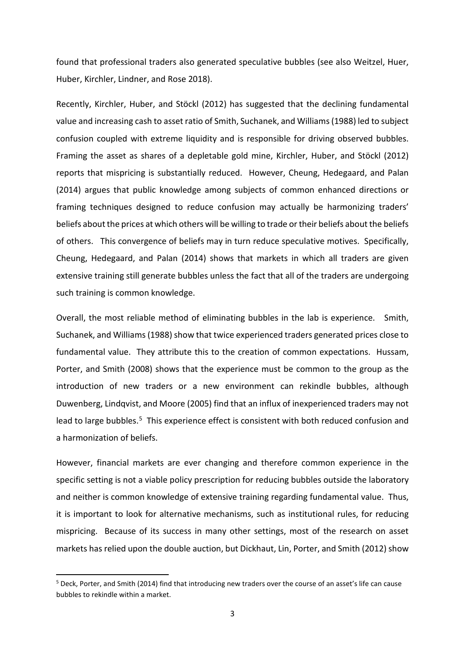found that professional traders also generated speculative bubbles (see also Weitzel, Huer, Huber, Kirchler, Lindner, and Rose 2018).

Recently, Kirchler, Huber, and Stöckl (2012) has suggested that the declining fundamental value and increasing cash to asset ratio of Smith, Suchanek, and Williams (1988) led to subject confusion coupled with extreme liquidity and is responsible for driving observed bubbles. Framing the asset as shares of a depletable gold mine, Kirchler, Huber, and Stöckl (2012) reports that mispricing is substantially reduced. However, Cheung, Hedegaard, and Palan (2014) argues that public knowledge among subjects of common enhanced directions or framing techniques designed to reduce confusion may actually be harmonizing traders' beliefs about the prices at which others will be willing to trade or their beliefs about the beliefs of others. This convergence of beliefs may in turn reduce speculative motives. Specifically, Cheung, Hedegaard, and Palan (2014) shows that markets in which all traders are given extensive training still generate bubbles unless the fact that all of the traders are undergoing such training is common knowledge.

Overall, the most reliable method of eliminating bubbles in the lab is experience. Smith, Suchanek, and Williams (1988) show that twice experienced traders generated prices close to fundamental value. They attribute this to the creation of common expectations. Hussam, Porter, and Smith (2008) shows that the experience must be common to the group as the introduction of new traders or a new environment can rekindle bubbles, although Duwenberg, Lindqvist, and Moore (2005) find that an influx of inexperienced traders may not lead to large bubbles.<sup>[5](#page-3-0)</sup> This experience effect is consistent with both reduced confusion and a harmonization of beliefs.

However, financial markets are ever changing and therefore common experience in the specific setting is not a viable policy prescription for reducing bubbles outside the laboratory and neither is common knowledge of extensive training regarding fundamental value. Thus, it is important to look for alternative mechanisms, such as institutional rules, for reducing mispricing. Because of its success in many other settings, most of the research on asset markets has relied upon the double auction, but Dickhaut, Lin, Porter, and Smith (2012) show

<span id="page-3-0"></span> <sup>5</sup> Deck, Porter, and Smith (2014) find that introducing new traders over the course of an asset's life can cause bubbles to rekindle within a market.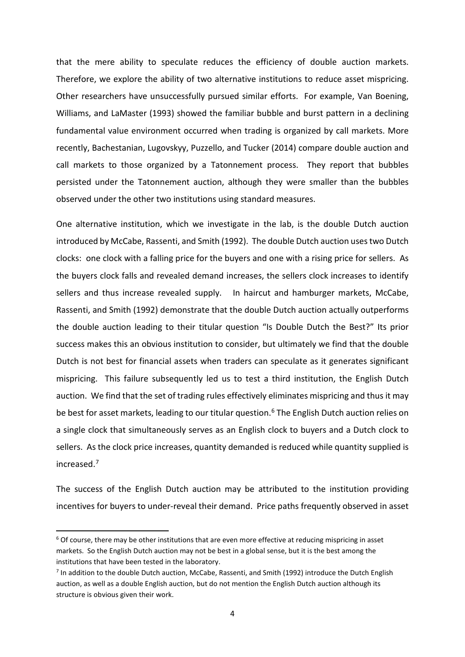that the mere ability to speculate reduces the efficiency of double auction markets. Therefore, we explore the ability of two alternative institutions to reduce asset mispricing. Other researchers have unsuccessfully pursued similar efforts. For example, Van Boening, Williams, and LaMaster (1993) showed the familiar bubble and burst pattern in a declining fundamental value environment occurred when trading is organized by call markets. More recently, Bachestanian, Lugovskyy, Puzzello, and Tucker (2014) compare double auction and call markets to those organized by a Tatonnement process. They report that bubbles persisted under the Tatonnement auction, although they were smaller than the bubbles observed under the other two institutions using standard measures.

One alternative institution, which we investigate in the lab, is the double Dutch auction introduced by McCabe, Rassenti, and Smith (1992). The double Dutch auction uses two Dutch clocks: one clock with a falling price for the buyers and one with a rising price for sellers. As the buyers clock falls and revealed demand increases, the sellers clock increases to identify sellers and thus increase revealed supply. In haircut and hamburger markets, McCabe, Rassenti, and Smith (1992) demonstrate that the double Dutch auction actually outperforms the double auction leading to their titular question "Is Double Dutch the Best?" Its prior success makes this an obvious institution to consider, but ultimately we find that the double Dutch is not best for financial assets when traders can speculate as it generates significant mispricing. This failure subsequently led us to test a third institution, the English Dutch auction. We find that the set of trading rules effectively eliminates mispricing and thus it may be best for asset markets, leading to our titular question. [6](#page-4-0) The English Dutch auction relies on a single clock that simultaneously serves as an English clock to buyers and a Dutch clock to sellers. As the clock price increases, quantity demanded is reduced while quantity supplied is increased.[7](#page-4-1)

The success of the English Dutch auction may be attributed to the institution providing incentives for buyers to under-reveal their demand. Price paths frequently observed in asset

<span id="page-4-0"></span><sup>&</sup>lt;sup>6</sup> Of course, there may be other institutions that are even more effective at reducing mispricing in asset markets. So the English Dutch auction may not be best in a global sense, but it is the best among the institutions that have been tested in the laboratory.

<span id="page-4-1"></span><sup>&</sup>lt;sup>7</sup> In addition to the double Dutch auction, McCabe, Rassenti, and Smith (1992) introduce the Dutch English auction, as well as a double English auction, but do not mention the English Dutch auction although its structure is obvious given their work.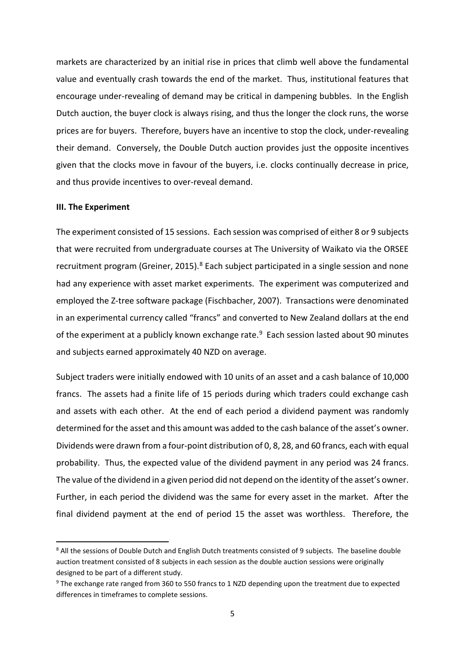markets are characterized by an initial rise in prices that climb well above the fundamental value and eventually crash towards the end of the market. Thus, institutional features that encourage under-revealing of demand may be critical in dampening bubbles. In the English Dutch auction, the buyer clock is always rising, and thus the longer the clock runs, the worse prices are for buyers. Therefore, buyers have an incentive to stop the clock, under-revealing their demand. Conversely, the Double Dutch auction provides just the opposite incentives given that the clocks move in favour of the buyers, i.e. clocks continually decrease in price, and thus provide incentives to over-reveal demand.

#### **III. The Experiment**

The experiment consisted of 15 sessions. Each session was comprised of either 8 or 9 subjects that were recruited from undergraduate courses at The University of Waikato via the ORSEE recruitment program (Greiner, 2015).<sup>[8](#page-5-0)</sup> Each subject participated in a single session and none had any experience with asset market experiments. The experiment was computerized and employed the Z-tree software package (Fischbacher, 2007). Transactions were denominated in an experimental currency called "francs" and converted to New Zealand dollars at the end of the experiment at a publicly known exchange rate.<sup>[9](#page-5-1)</sup> Each session lasted about 90 minutes and subjects earned approximately 40 NZD on average.

Subject traders were initially endowed with 10 units of an asset and a cash balance of 10,000 francs. The assets had a finite life of 15 periods during which traders could exchange cash and assets with each other. At the end of each period a dividend payment was randomly determined for the asset and this amount was added to the cash balance of the asset's owner. Dividends were drawn from a four-point distribution of 0, 8, 28, and 60 francs, each with equal probability. Thus, the expected value of the dividend payment in any period was 24 francs. The value of the dividend in a given period did not depend on the identity of the asset's owner. Further, in each period the dividend was the same for every asset in the market. After the final dividend payment at the end of period 15 the asset was worthless. Therefore, the

<span id="page-5-0"></span><sup>&</sup>lt;sup>8</sup> All the sessions of Double Dutch and English Dutch treatments consisted of 9 subjects. The baseline double auction treatment consisted of 8 subjects in each session as the double auction sessions were originally designed to be part of a different study.

<span id="page-5-1"></span><sup>9</sup> The exchange rate ranged from 360 to 550 francs to 1 NZD depending upon the treatment due to expected differences in timeframes to complete sessions.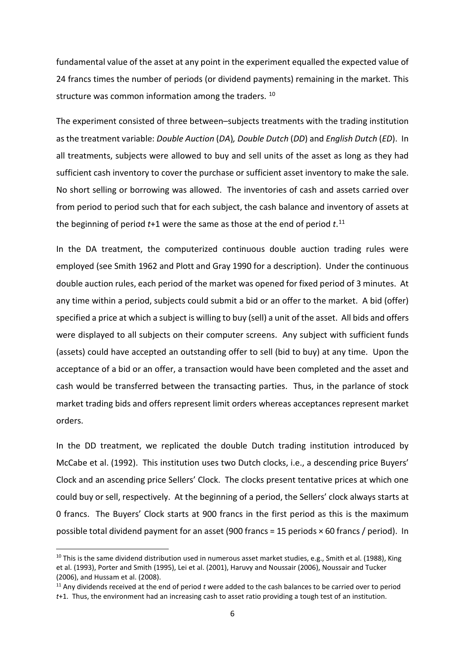fundamental value of the asset at any point in the experiment equalled the expected value of 24 francs times the number of periods (or dividend payments) remaining in the market. This structure was common information among the traders. <sup>10</sup>

The experiment consisted of three between–subjects treatments with the trading institution as the treatment variable: *Double Auction* (*DA*)*, Double Dutch* (*DD*) and *English Dutch* (*ED*). In all treatments, subjects were allowed to buy and sell units of the asset as long as they had sufficient cash inventory to cover the purchase or sufficient asset inventory to make the sale. No short selling or borrowing was allowed. The inventories of cash and assets carried over from period to period such that for each subject, the cash balance and inventory of assets at the beginning of period *t*+1 were the same as those at the end of period *t*. [11](#page-6-1)

In the DA treatment, the computerized continuous double auction trading rules were employed (see Smith 1962 and Plott and Gray 1990 for a description). Under the continuous double auction rules, each period of the market was opened for fixed period of 3 minutes. At any time within a period, subjects could submit a bid or an offer to the market. A bid (offer) specified a price at which a subject is willing to buy (sell) a unit of the asset. All bids and offers were displayed to all subjects on their computer screens. Any subject with sufficient funds (assets) could have accepted an outstanding offer to sell (bid to buy) at any time. Upon the acceptance of a bid or an offer, a transaction would have been completed and the asset and cash would be transferred between the transacting parties. Thus, in the parlance of stock market trading bids and offers represent limit orders whereas acceptances represent market orders.

In the DD treatment, we replicated the double Dutch trading institution introduced by McCabe et al. (1992). This institution uses two Dutch clocks, i.e., a descending price Buyers' Clock and an ascending price Sellers' Clock. The clocks present tentative prices at which one could buy or sell, respectively. At the beginning of a period, the Sellers' clock always starts at 0 francs. The Buyers' Clock starts at 900 francs in the first period as this is the maximum possible total dividend payment for an asset (900 francs = 15 periods × 60 francs / period). In

<span id="page-6-0"></span><sup>&</sup>lt;sup>10</sup> This is the same dividend distribution used in numerous asset market studies, e.g., Smith et al. (1988), King et al. (1993), Porter and Smith (1995), Lei et al. (2001), Haruvy and Noussair (2006), Noussair and Tucker (2006), and Hussam et al. (2008).

<span id="page-6-1"></span><sup>11</sup> Any dividends received at the end of period *t* were added to the cash balances to be carried over to period *t*+1. Thus, the environment had an increasing cash to asset ratio providing a tough test of an institution.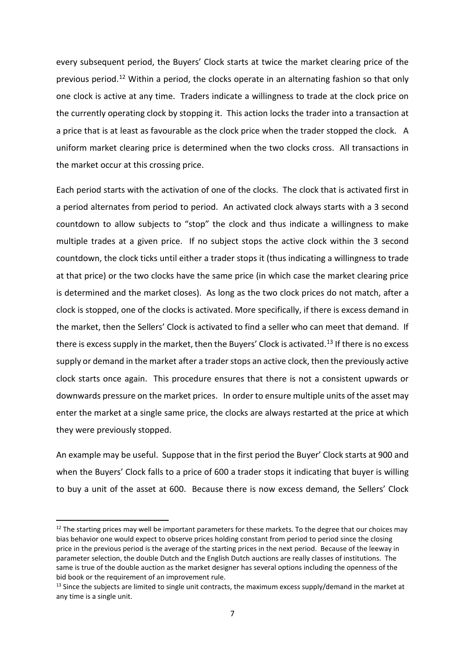every subsequent period, the Buyers' Clock starts at twice the market clearing price of the previous period.<sup>[12](#page-7-0)</sup> Within a period, the clocks operate in an alternating fashion so that only one clock is active at any time. Traders indicate a willingness to trade at the clock price on the currently operating clock by stopping it. This action locks the trader into a transaction at a price that is at least as favourable as the clock price when the trader stopped the clock. A uniform market clearing price is determined when the two clocks cross. All transactions in the market occur at this crossing price.

Each period starts with the activation of one of the clocks. The clock that is activated first in a period alternates from period to period. An activated clock always starts with a 3 second countdown to allow subjects to "stop" the clock and thus indicate a willingness to make multiple trades at a given price. If no subject stops the active clock within the 3 second countdown, the clock ticks until either a trader stops it (thus indicating a willingness to trade at that price) or the two clocks have the same price (in which case the market clearing price is determined and the market closes). As long as the two clock prices do not match, after a clock is stopped, one of the clocks is activated. More specifically, if there is excess demand in the market, then the Sellers' Clock is activated to find a seller who can meet that demand. If there is excess supply in the market, then the Buyers' Clock is activated.<sup>13</sup> If there is no excess supply or demand in the market after a trader stops an active clock, then the previously active clock starts once again. This procedure ensures that there is not a consistent upwards or downwards pressure on the market prices. In order to ensure multiple units of the asset may enter the market at a single same price, the clocks are always restarted at the price at which they were previously stopped.

An example may be useful. Suppose that in the first period the Buyer' Clock starts at 900 and when the Buyers' Clock falls to a price of 600 a trader stops it indicating that buyer is willing to buy a unit of the asset at 600. Because there is now excess demand, the Sellers' Clock

<span id="page-7-0"></span> $12$  The starting prices may well be important parameters for these markets. To the degree that our choices may bias behavior one would expect to observe prices holding constant from period to period since the closing price in the previous period is the average of the starting prices in the next period. Because of the leeway in parameter selection, the double Dutch and the English Dutch auctions are really classes of institutions. The same is true of the double auction as the market designer has several options including the openness of the bid book or the requirement of an improvement rule.

<span id="page-7-1"></span> $13$  Since the subjects are limited to single unit contracts, the maximum excess supply/demand in the market at any time is a single unit.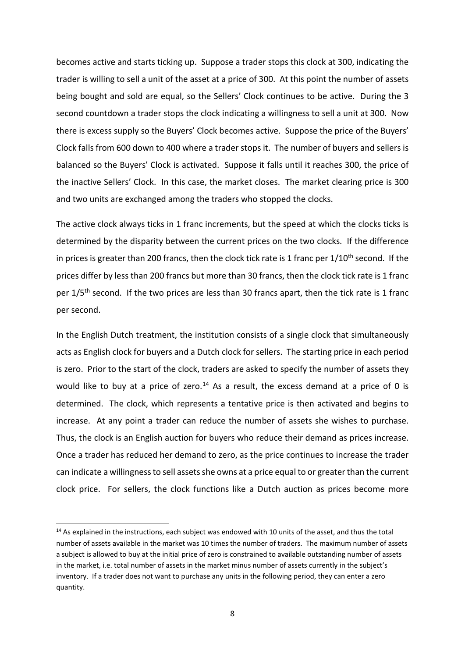becomes active and starts ticking up. Suppose a trader stops this clock at 300, indicating the trader is willing to sell a unit of the asset at a price of 300. At this point the number of assets being bought and sold are equal, so the Sellers' Clock continues to be active. During the 3 second countdown a trader stops the clock indicating a willingness to sell a unit at 300. Now there is excess supply so the Buyers' Clock becomes active. Suppose the price of the Buyers' Clock falls from 600 down to 400 where a trader stops it. The number of buyers and sellers is balanced so the Buyers' Clock is activated. Suppose it falls until it reaches 300, the price of the inactive Sellers' Clock. In this case, the market closes. The market clearing price is 300 and two units are exchanged among the traders who stopped the clocks.

The active clock always ticks in 1 franc increments, but the speed at which the clocks ticks is determined by the disparity between the current prices on the two clocks. If the difference in prices is greater than 200 francs, then the clock tick rate is 1 franc per  $1/10^{th}$  second. If the prices differ by less than 200 francs but more than 30 francs, then the clock tick rate is 1 franc per 1/5<sup>th</sup> second. If the two prices are less than 30 francs apart, then the tick rate is 1 franc per second.

In the English Dutch treatment, the institution consists of a single clock that simultaneously acts as English clock for buyers and a Dutch clock for sellers. The starting price in each period is zero. Prior to the start of the clock, traders are asked to specify the number of assets they would like to buy at a price of zero.<sup>[14](#page-8-0)</sup> As a result, the excess demand at a price of 0 is determined. The clock, which represents a tentative price is then activated and begins to increase. At any point a trader can reduce the number of assets she wishes to purchase. Thus, the clock is an English auction for buyers who reduce their demand as prices increase. Once a trader has reduced her demand to zero, as the price continues to increase the trader can indicate a willingness to sell assets she owns at a price equal to or greater than the current clock price. For sellers, the clock functions like a Dutch auction as prices become more

<span id="page-8-0"></span><sup>&</sup>lt;sup>14</sup> As explained in the instructions, each subject was endowed with 10 units of the asset, and thus the total number of assets available in the market was 10 times the number of traders. The maximum number of assets a subject is allowed to buy at the initial price of zero is constrained to available outstanding number of assets in the market, i.e. total number of assets in the market minus number of assets currently in the subject's inventory. If a trader does not want to purchase any units in the following period, they can enter a zero quantity.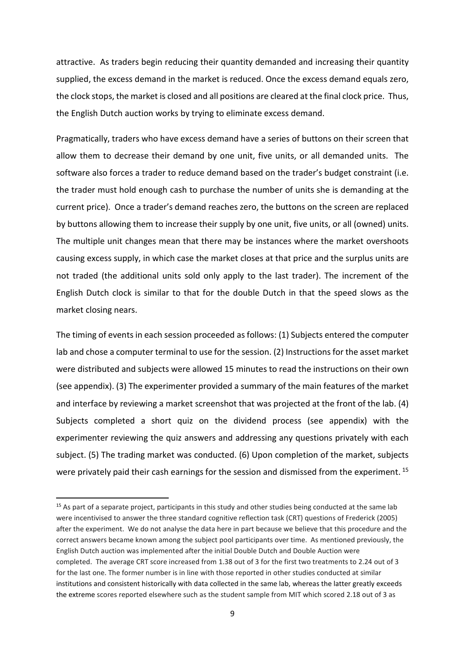attractive. As traders begin reducing their quantity demanded and increasing their quantity supplied, the excess demand in the market is reduced. Once the excess demand equals zero, the clock stops, the market is closed and all positions are cleared at the final clock price. Thus, the English Dutch auction works by trying to eliminate excess demand.

Pragmatically, traders who have excess demand have a series of buttons on their screen that allow them to decrease their demand by one unit, five units, or all demanded units. The software also forces a trader to reduce demand based on the trader's budget constraint (i.e. the trader must hold enough cash to purchase the number of units she is demanding at the current price). Once a trader's demand reaches zero, the buttons on the screen are replaced by buttons allowing them to increase their supply by one unit, five units, or all (owned) units. The multiple unit changes mean that there may be instances where the market overshoots causing excess supply, in which case the market closes at that price and the surplus units are not traded (the additional units sold only apply to the last trader). The increment of the English Dutch clock is similar to that for the double Dutch in that the speed slows as the market closing nears.

The timing of events in each session proceeded as follows: (1) Subjects entered the computer lab and chose a computer terminal to use for the session. (2) Instructions for the asset market were distributed and subjects were allowed 15 minutes to read the instructions on their own (see appendix). (3) The experimenter provided a summary of the main features of the market and interface by reviewing a market screenshot that was projected at the front of the lab. (4) Subjects completed a short quiz on the dividend process (see appendix) with the experimenter reviewing the quiz answers and addressing any questions privately with each subject. (5) The trading market was conducted. (6) Upon completion of the market, subjects were privately paid their cash earnings for the session and dismissed from the experiment.<sup>[15](#page-9-0)</sup>

<span id="page-9-0"></span><sup>&</sup>lt;sup>15</sup> As part of a separate project, participants in this study and other studies being conducted at the same lab were incentivised to answer the three standard cognitive reflection task (CRT) questions of Frederick (2005) after the experiment. We do not analyse the data here in part because we believe that this procedure and the correct answers became known among the subject pool participants over time. As mentioned previously, the English Dutch auction was implemented after the initial Double Dutch and Double Auction were completed. The average CRT score increased from 1.38 out of 3 for the first two treatments to 2.24 out of 3 for the last one. The former number is in line with those reported in other studies conducted at similar institutions and consistent historically with data collected in the same lab, whereas the latter greatly exceeds the extreme scores reported elsewhere such as the student sample from MIT which scored 2.18 out of 3 as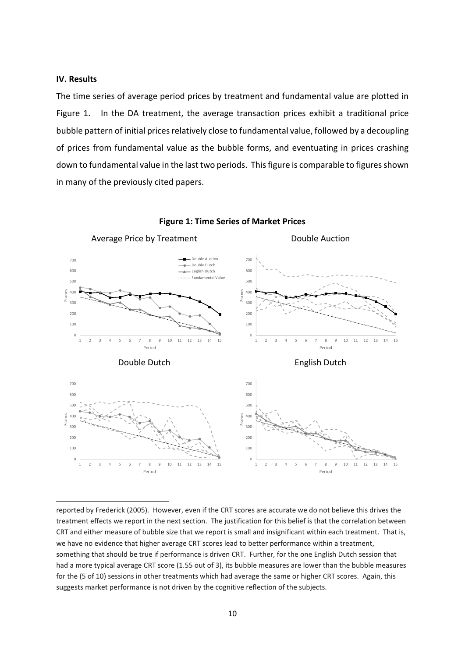#### **IV. Results**

**.** 

The time series of average period prices by treatment and fundamental value are plotted in Figure 1. In the DA treatment, the average transaction prices exhibit a traditional price bubble pattern of initial prices relatively close to fundamental value, followed by a decoupling of prices from fundamental value as the bubble forms, and eventuating in prices crashing down to fundamental value in the last two periods. This figure is comparable to figures shown in many of the previously cited papers.



**Figure 1: Time Series of Market Prices** 

reported by Frederick (2005). However, even if the CRT scores are accurate we do not believe this drives the treatment effects we report in the next section. The justification for this belief is that the correlation between CRT and either measure of bubble size that we report is small and insignificant within each treatment. That is, we have no evidence that higher average CRT scores lead to better performance within a treatment, something that should be true if performance is driven CRT. Further, for the one English Dutch session that had a more typical average CRT score (1.55 out of 3), its bubble measures are lower than the bubble measures for the (5 of 10) sessions in other treatments which had average the same or higher CRT scores. Again, this suggests market performance is not driven by the cognitive reflection of the subjects.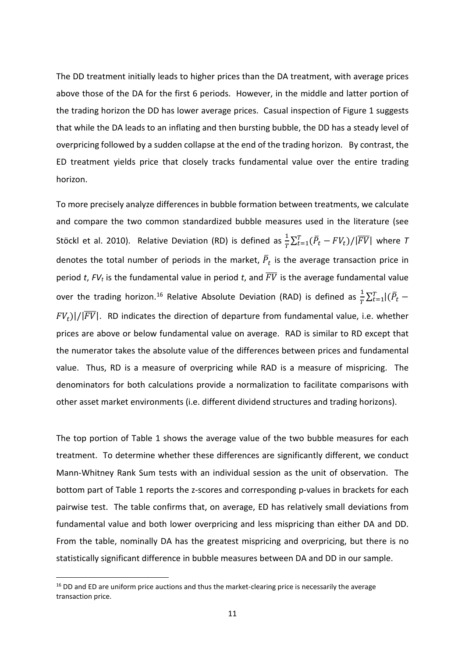The DD treatment initially leads to higher prices than the DA treatment, with average prices above those of the DA for the first 6 periods. However, in the middle and latter portion of the trading horizon the DD has lower average prices. Casual inspection of Figure 1 suggests that while the DA leads to an inflating and then bursting bubble, the DD has a steady level of overpricing followed by a sudden collapse at the end of the trading horizon. By contrast, the ED treatment yields price that closely tracks fundamental value over the entire trading horizon.

To more precisely analyze differences in bubble formation between treatments, we calculate and compare the two common standardized bubble measures used in the literature (see Stöckl et al. 2010). Relative Deviation (RD) is defined as  $\frac{1}{T}\sum_{t=1}^{T}(\bar{P}_{t}-FV_{t})/|\overline{FV}|$  where *T* denotes the total number of periods in the market,  $P_t$  is the average transaction price in period *t*,  $FV_t$  is the fundamental value in period *t*, and  $\overline{FV}$  is the average fundamental value over the trading horizon.<sup>[16](#page-11-0)</sup> Relative Absolute Deviation (RAD) is defined as  $\frac{1}{T}\sum_{t=1}^{T} |(\bar{P}_t |F_V\rangle|/|\overline{F}V|$ . RD indicates the direction of departure from fundamental value, i.e. whether prices are above or below fundamental value on average. RAD is similar to RD except that the numerator takes the absolute value of the differences between prices and fundamental value. Thus, RD is a measure of overpricing while RAD is a measure of mispricing. The denominators for both calculations provide a normalization to facilitate comparisons with other asset market environments (i.e. different dividend structures and trading horizons).

The top portion of Table 1 shows the average value of the two bubble measures for each treatment. To determine whether these differences are significantly different, we conduct Mann-Whitney Rank Sum tests with an individual session as the unit of observation. The bottom part of Table 1 reports the z-scores and corresponding p-values in brackets for each pairwise test. The table confirms that, on average, ED has relatively small deviations from fundamental value and both lower overpricing and less mispricing than either DA and DD. From the table, nominally DA has the greatest mispricing and overpricing, but there is no statistically significant difference in bubble measures between DA and DD in our sample.

<span id="page-11-0"></span><sup>&</sup>lt;sup>16</sup> DD and ED are uniform price auctions and thus the market-clearing price is necessarily the average transaction price.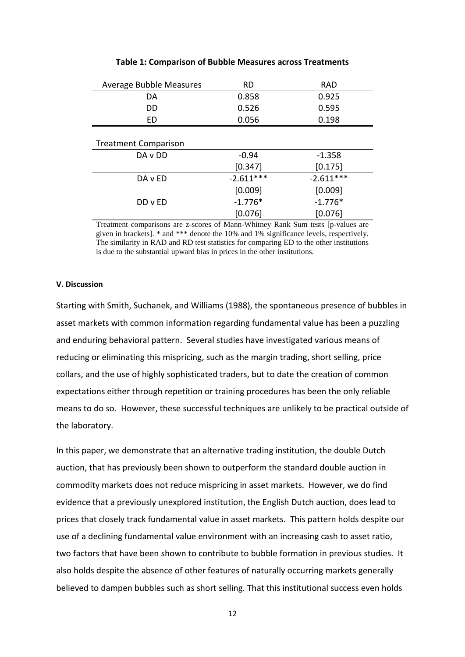| <b>Average Bubble Measures</b> | <b>RD</b>   | <b>RAD</b>  |
|--------------------------------|-------------|-------------|
| DA                             | 0.858       | 0.925       |
| DD.                            | 0.526       | 0.595       |
| ED                             | 0.056       | 0.198       |
|                                |             |             |
| <b>Treatment Comparison</b>    |             |             |
| DA v DD                        | $-0.94$     | $-1.358$    |
|                                | [0.347]     | [0.175]     |
| DA v ED                        | $-2.611***$ | $-2.611***$ |
|                                | [0.009]     | [0.009]     |
| DD v ED                        | $-1.776*$   | $-1.776*$   |
|                                | [0.076]     | [0.076]     |

#### **Table 1: Comparison of Bubble Measures across Treatments**

Treatment comparisons are z-scores of Mann-Whitney Rank Sum tests [p-values are given in brackets]. \* and \*\*\* denote the 10% and 1% significance levels, respectively. The similarity in RAD and RD test statistics for comparing ED to the other institutions is due to the substantial upward bias in prices in the other institutions.

#### **V. Discussion**

Starting with Smith, Suchanek, and Williams (1988), the spontaneous presence of bubbles in asset markets with common information regarding fundamental value has been a puzzling and enduring behavioral pattern. Several studies have investigated various means of reducing or eliminating this mispricing, such as the margin trading, short selling, price collars, and the use of highly sophisticated traders, but to date the creation of common expectations either through repetition or training procedures has been the only reliable means to do so. However, these successful techniques are unlikely to be practical outside of the laboratory.

In this paper, we demonstrate that an alternative trading institution, the double Dutch auction, that has previously been shown to outperform the standard double auction in commodity markets does not reduce mispricing in asset markets. However, we do find evidence that a previously unexplored institution, the English Dutch auction, does lead to prices that closely track fundamental value in asset markets. This pattern holds despite our use of a declining fundamental value environment with an increasing cash to asset ratio, two factors that have been shown to contribute to bubble formation in previous studies. It also holds despite the absence of other features of naturally occurring markets generally believed to dampen bubbles such as short selling. That this institutional success even holds

12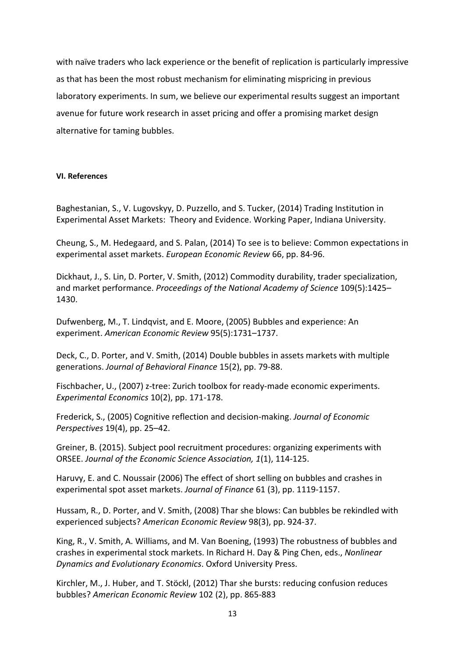with naïve traders who lack experience or the benefit of replication is particularly impressive as that has been the most robust mechanism for eliminating mispricing in previous laboratory experiments. In sum, we believe our experimental results suggest an important avenue for future work research in asset pricing and offer a promising market design alternative for taming bubbles.

#### **VI. References**

Baghestanian, S., V. Lugovskyy, D. Puzzello, and S. Tucker, (2014) Trading Institution in Experimental Asset Markets: Theory and Evidence. Working Paper, Indiana University.

Cheung, S., M. Hedegaard, and S. Palan, (2014) To see is to believe: Common expectations in experimental asset markets. *European Economic Review* 66, pp. 84-96.

Dickhaut, J., S. Lin, D. Porter, V. Smith, (2012) Commodity durability, trader specialization, and market performance. *Proceedings of the National Academy of Science* 109(5):1425– 1430.

Dufwenberg, M., T. Lindqvist, and E. Moore, (2005) Bubbles and experience: An experiment. *American Economic Review* 95(5):1731–1737.

Deck, C., D. Porter, and V. Smith, (2014) Double bubbles in assets markets with multiple generations. *Journal of Behavioral Finance* 15(2), pp. 79-88.

Fischbacher, U., (2007) z-tree: Zurich toolbox for ready-made economic experiments. *Experimental Economics* 10(2), pp. 171-178.

Frederick, S., (2005) Cognitive reflection and decision-making. *Journal of Economic Perspectives* 19(4), pp. 25–42.

Greiner, B. (2015). Subject pool recruitment procedures: organizing experiments with ORSEE. *Journal of the Economic Science Association, 1*(1), 114-125.

Haruvy, E. and C. Noussair (2006) The effect of short selling on bubbles and crashes in experimental spot asset markets. *Journal of Finance* 61 (3), pp. 1119-1157.

Hussam, R., D. Porter, and V. Smith, (2008) Thar she blows: Can bubbles be rekindled with experienced subjects? *American Economic Review* 98(3), pp. 924-37.

King, R., V. Smith, A. Williams, and M. Van Boening, (1993) The robustness of bubbles and crashes in experimental stock markets. In Richard H. Day & Ping Chen, eds., *Nonlinear Dynamics and Evolutionary Economics*. Oxford University Press.

Kirchler, M., J. Huber, and T. Stöckl, (2012) Thar she bursts: reducing confusion reduces bubbles? *American Economic Review* 102 (2), pp. 865-883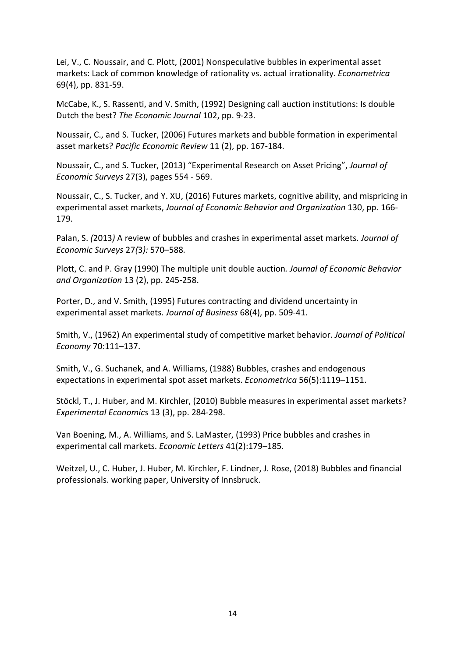Lei, V., C. Noussair, and C. Plott, (2001) Nonspeculative bubbles in experimental asset markets: Lack of common knowledge of rationality vs. actual irrationality. *Econometrica* 69(4), pp. 831-59.

McCabe, K., S. Rassenti, and V. Smith, (1992) Designing call auction institutions: Is double Dutch the best? *The Economic Journal* 102, pp. 9-23.

Noussair, C., and S. Tucker, (2006) Futures markets and bubble formation in experimental asset markets? *Pacific Economic Review* 11 (2), pp. 167-184.

Noussair, C., and S. Tucker, (2013) "Experimental Research on Asset Pricing", *Journal of Economic Surveys* 27(3), pages 554 - 569.

Noussair, C., S. Tucker, and Y. XU, (2016) Futures markets, cognitive ability, and mispricing in experimental asset markets, *Journal of Economic Behavior and Organization* 130, pp. 166- 179.

Palan, S. *(*2013*)* A review of bubbles and crashes in experimental asset markets. *Journal of Economic Surveys* 27*(*3*):* 570*–*588*.*

Plott, C. and P. Gray (1990) The multiple unit double auction*. Journal of Economic Behavior and Organization* 13 (2), pp. 245-258.

Porter, D., and V. Smith, (1995) Futures contracting and dividend uncertainty in experimental asset markets*. Journal of Business* 68(4), pp. 509-41.

Smith, V., (1962) An experimental study of competitive market behavior. *Journal of Political Economy* 70:111–137.

Smith, V., G. Suchanek, and A. Williams, (1988) Bubbles, crashes and endogenous expectations in experimental spot asset markets. *Econometrica* 56(5):1119–1151.

Stöckl, T., J. Huber, and M. Kirchler, (2010) Bubble measures in experimental asset markets? *Experimental Economics* 13 (3), pp. 284-298.

Van Boening, M., A. Williams, and S. LaMaster, (1993) Price bubbles and crashes in experimental call markets. *Economic Letters* 41(2):179–185.

Weitzel, U., C. Huber, J. Huber, M. Kirchler, F. Lindner, J. Rose, (2018) Bubbles and financial professionals. working paper, University of Innsbruck.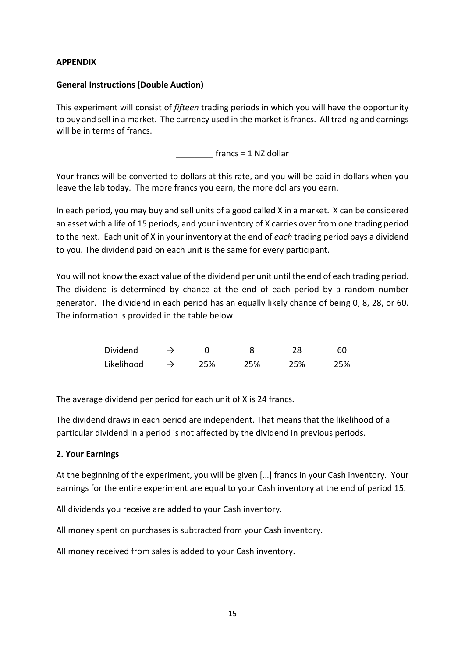### **APPENDIX**

### **General Instructions (Double Auction)**

This experiment will consist of *fifteen* trading periods in which you will have the opportunity to buy and sell in a market. The currency used in the market is francs. All trading and earnings will be in terms of francs.

 $f$ rancs = 1 NZ dollar

Your francs will be converted to dollars at this rate, and you will be paid in dollars when you leave the lab today. The more francs you earn, the more dollars you earn.

In each period, you may buy and sell units of a good called X in a market. X can be considered an asset with a life of 15 periods, and your inventory of X carries over from one trading period to the next. Each unit of X in your inventory at the end of *each* trading period pays a dividend to you. The dividend paid on each unit is the same for every participant.

You will not know the exact value of the dividend per unit until the end of each trading period. The dividend is determined by chance at the end of each period by a random number generator. The dividend in each period has an equally likely chance of being 0, 8, 28, or 60. The information is provided in the table below.

| Dividend   |     |     |     | 60  |
|------------|-----|-----|-----|-----|
| Likelihood | 25% | 25% | 25% | 25% |

The average dividend per period for each unit of X is 24 francs.

The dividend draws in each period are independent. That means that the likelihood of a particular dividend in a period is not affected by the dividend in previous periods.

# **2. Your Earnings**

At the beginning of the experiment, you will be given […] francs in your Cash inventory. Your earnings for the entire experiment are equal to your Cash inventory at the end of period 15.

All dividends you receive are added to your Cash inventory.

All money spent on purchases is subtracted from your Cash inventory.

All money received from sales is added to your Cash inventory.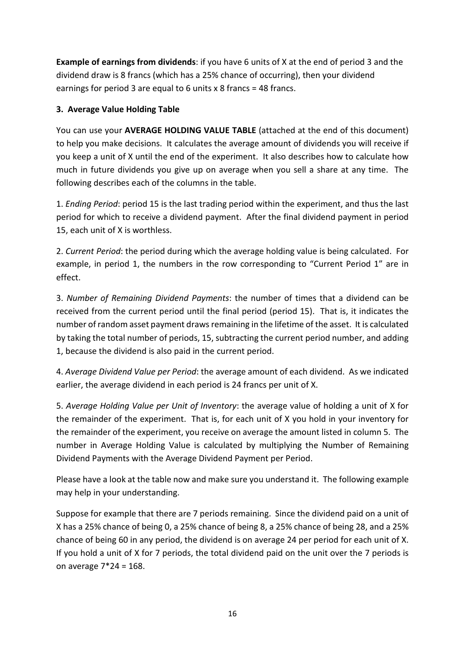**Example of earnings from dividends**: if you have 6 units of X at the end of period 3 and the dividend draw is 8 francs (which has a 25% chance of occurring), then your dividend earnings for period 3 are equal to 6 units x 8 francs = 48 francs.

# **3. Average Value Holding Table**

You can use your **AVERAGE HOLDING VALUE TABLE** (attached at the end of this document) to help you make decisions. It calculates the average amount of dividends you will receive if you keep a unit of X until the end of the experiment. It also describes how to calculate how much in future dividends you give up on average when you sell a share at any time. The following describes each of the columns in the table.

1. *Ending Period*: period 15 is the last trading period within the experiment, and thus the last period for which to receive a dividend payment. After the final dividend payment in period 15, each unit of X is worthless.

2. *Current Period*: the period during which the average holding value is being calculated. For example, in period 1, the numbers in the row corresponding to "Current Period 1" are in effect.

3. *Number of Remaining Dividend Payments*: the number of times that a dividend can be received from the current period until the final period (period 15). That is, it indicates the number of random asset payment draws remaining in the lifetime of the asset. It is calculated by taking the total number of periods, 15, subtracting the current period number, and adding 1, because the dividend is also paid in the current period.

4. *Average Dividend Value per Period*: the average amount of each dividend. As we indicated earlier, the average dividend in each period is 24 francs per unit of X.

5. *Average Holding Value per Unit of Inventory*: the average value of holding a unit of X for the remainder of the experiment. That is, for each unit of X you hold in your inventory for the remainder of the experiment, you receive on average the amount listed in column 5. The number in Average Holding Value is calculated by multiplying the Number of Remaining Dividend Payments with the Average Dividend Payment per Period.

Please have a look at the table now and make sure you understand it. The following example may help in your understanding.

Suppose for example that there are 7 periods remaining. Since the dividend paid on a unit of X has a 25% chance of being 0, a 25% chance of being 8, a 25% chance of being 28, and a 25% chance of being 60 in any period, the dividend is on average 24 per period for each unit of X. If you hold a unit of X for 7 periods, the total dividend paid on the unit over the 7 periods is on average 7\*24 = 168.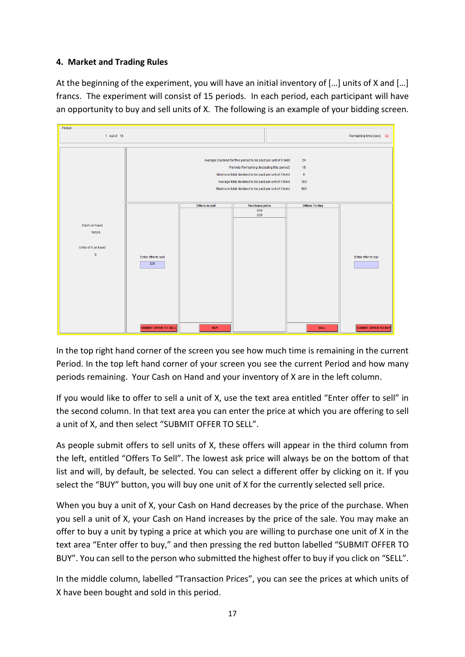# **4. Market and Trading Rules**

At the beginning of the experiment, you will have an initial inventory of […] units of X and […] francs. The experiment will consist of 15 periods. In each period, each participant will have an opportunity to buy and sell units of X. The following is an example of your bidding screen.



In the top right hand corner of the screen you see how much time is remaining in the current Period. In the top left hand corner of your screen you see the current Period and how many periods remaining. Your Cash on Hand and your inventory of X are in the left column.

If you would like to offer to sell a unit of X, use the text area entitled "Enter offer to sell" in the second column. In that text area you can enter the price at which you are offering to sell a unit of X, and then select "SUBMIT OFFER TO SELL".

As people submit offers to sell units of X, these offers will appear in the third column from the left, entitled "Offers To Sell". The lowest ask price will always be on the bottom of that list and will, by default, be selected. You can select a different offer by clicking on it. If you select the "BUY" button, you will buy one unit of X for the currently selected sell price.

When you buy a unit of X, your Cash on Hand decreases by the price of the purchase. When you sell a unit of X, your Cash on Hand increases by the price of the sale. You may make an offer to buy a unit by typing a price at which you are willing to purchase one unit of X in the text area "Enter offer to buy," and then pressing the red button labelled "SUBMIT OFFER TO BUY". You can sell to the person who submitted the highest offer to buy if you click on "SELL".

In the middle column, labelled "Transaction Prices", you can see the prices at which units of X have been bought and sold in this period.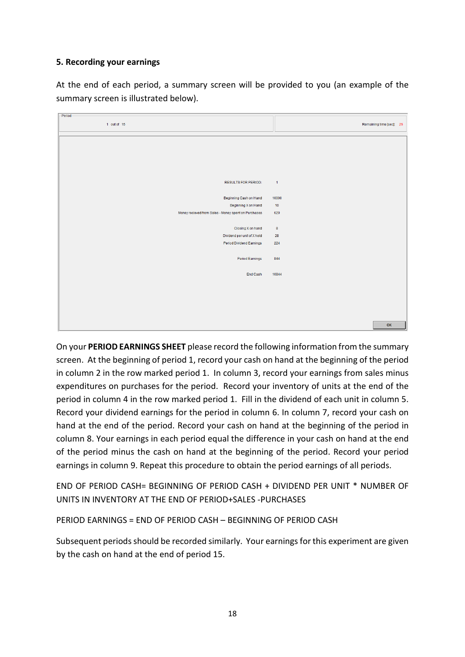# **5. Recording your earnings**

At the end of each period, a summary screen will be provided to you (an example of the summary screen is illustrated below).

| -Period- |                                                      |                |                          |
|----------|------------------------------------------------------|----------------|--------------------------|
|          | 1 out of 15                                          |                | Remaining time [sec]: 26 |
|          |                                                      |                |                          |
|          |                                                      |                |                          |
|          |                                                      |                |                          |
|          |                                                      |                |                          |
|          |                                                      |                |                          |
|          |                                                      |                |                          |
|          |                                                      |                |                          |
|          | <b>RESULTS FOR PERIOD:</b>                           | $\blacksquare$ |                          |
|          |                                                      |                |                          |
|          | Beginning Cash on Hand                               | 10000          |                          |
|          | Beginning X on Hand                                  | 10             |                          |
|          | Money recieved from Sales - Money spent on Purchases | 620            |                          |
|          |                                                      |                |                          |
|          | Closing X on hand                                    | $\bf 8$        |                          |
|          | Dividend per unit of X held                          | 28             |                          |
|          | Period Dividend Earnings                             | 224            |                          |
|          |                                                      |                |                          |
|          | Period Earnings                                      | 844            |                          |
|          |                                                      |                |                          |
|          | End Cash                                             | 10844          |                          |
|          |                                                      |                |                          |
|          |                                                      |                |                          |
|          |                                                      |                |                          |
|          |                                                      |                |                          |
|          |                                                      |                |                          |
|          |                                                      |                | OK                       |
|          |                                                      |                |                          |

On your **PERIOD EARNINGS SHEET** please record the following information from the summary screen. At the beginning of period 1, record your cash on hand at the beginning of the period in column 2 in the row marked period 1. In column 3, record your earnings from sales minus expenditures on purchases for the period. Record your inventory of units at the end of the period in column 4 in the row marked period 1. Fill in the dividend of each unit in column 5. Record your dividend earnings for the period in column 6. In column 7, record your cash on hand at the end of the period. Record your cash on hand at the beginning of the period in column 8. Your earnings in each period equal the difference in your cash on hand at the end of the period minus the cash on hand at the beginning of the period. Record your period earnings in column 9. Repeat this procedure to obtain the period earnings of all periods.

END OF PERIOD CASH= BEGINNING OF PERIOD CASH + DIVIDEND PER UNIT \* NUMBER OF UNITS IN INVENTORY AT THE END OF PERIOD+SALES -PURCHASES

PERIOD EARNINGS = END OF PERIOD CASH – BEGINNING OF PERIOD CASH

Subsequent periods should be recorded similarly. Your earnings for this experiment are given by the cash on hand at the end of period 15.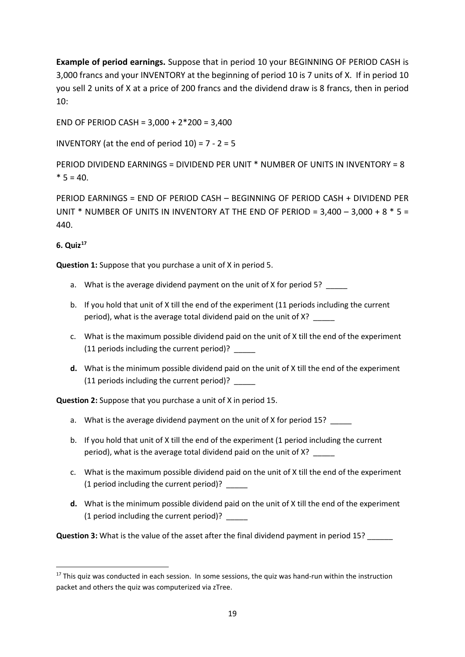**Example of period earnings.** Suppose that in period 10 your BEGINNING OF PERIOD CASH is 3,000 francs and your INVENTORY at the beginning of period 10 is 7 units of X. If in period 10 you sell 2 units of X at a price of 200 francs and the dividend draw is 8 francs, then in period  $10:$ 

END OF PERIOD CASH = 3,000 + 2\*200 = 3,400

INVENTORY (at the end of period  $10$ ) =  $7 - 2 = 5$ 

PERIOD DIVIDEND EARNINGS = DIVIDEND PER UNIT \* NUMBER OF UNITS IN INVENTORY = 8  $* 5 = 40.$ 

PERIOD EARNINGS = END OF PERIOD CASH – BEGINNING OF PERIOD CASH + DIVIDEND PER UNIT  $*$  NUMBER OF UNITS IN INVENTORY AT THE END OF PERIOD = 3,400 - 3,000 + 8  $*$  5 = 440.

# **6. Quiz[17](#page-19-0)**

**Question 1:** Suppose that you purchase a unit of X in period 5.

- a. What is the average dividend payment on the unit of X for period 5?
- b. If you hold that unit of X till the end of the experiment (11 periods including the current period), what is the average total dividend paid on the unit of X?
- c. What is the maximum possible dividend paid on the unit of X till the end of the experiment (11 periods including the current period)? \_\_\_\_\_
- **d.** What is the minimum possible dividend paid on the unit of X till the end of the experiment (11 periods including the current period)?

**Question 2:** Suppose that you purchase a unit of X in period 15.

- a. What is the average dividend payment on the unit of X for period 15?
- b. If you hold that unit of X till the end of the experiment (1 period including the current period), what is the average total dividend paid on the unit of X? \_\_\_\_
- c. What is the maximum possible dividend paid on the unit of X till the end of the experiment (1 period including the current period)? \_\_\_\_\_
- **d.** What is the minimum possible dividend paid on the unit of X till the end of the experiment (1 period including the current period)? \_\_\_\_\_

**Question 3:** What is the value of the asset after the final dividend payment in period 15?

<span id="page-19-0"></span> $17$  This quiz was conducted in each session. In some sessions, the quiz was hand-run within the instruction packet and others the quiz was computerized via zTree.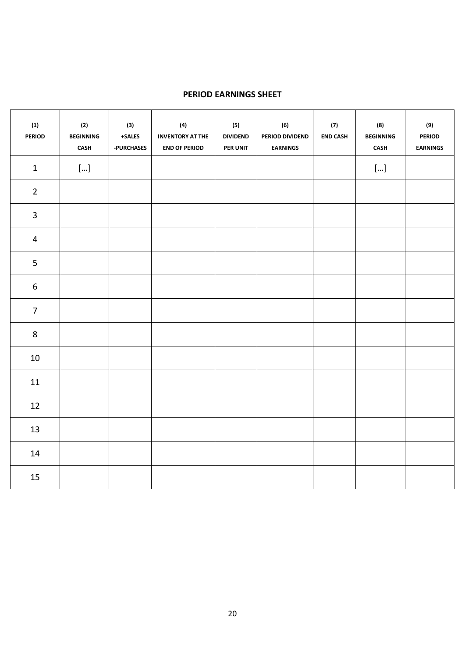#### **PERIOD EARNINGS SHEET**

| (1)<br><b>PERIOD</b> | (2)<br><b>BEGINNING</b><br><b>CASH</b> | $(3)$<br>$+\sf{SALES}$<br>-PURCHASES | (4)<br><b>INVENTORY AT THE</b><br><b>END OF PERIOD</b> | (5)<br><b>DIVIDEND</b><br>PER UNIT | (6)<br>PERIOD DIVIDEND<br><b>EARNINGS</b> | (7)<br><b>END CASH</b> | (8)<br><b>BEGINNING</b><br>CASH | $(9)$<br><b>PERIOD</b><br><b>EARNINGS</b> |
|----------------------|----------------------------------------|--------------------------------------|--------------------------------------------------------|------------------------------------|-------------------------------------------|------------------------|---------------------------------|-------------------------------------------|
| $1\,$                | $[\ldots]$                             |                                      |                                                        |                                    |                                           |                        | $[\ldots]$                      |                                           |
| $\overline{2}$       |                                        |                                      |                                                        |                                    |                                           |                        |                                 |                                           |
| $\overline{3}$       |                                        |                                      |                                                        |                                    |                                           |                        |                                 |                                           |
| $\overline{4}$       |                                        |                                      |                                                        |                                    |                                           |                        |                                 |                                           |
| 5                    |                                        |                                      |                                                        |                                    |                                           |                        |                                 |                                           |
| $\boldsymbol{6}$     |                                        |                                      |                                                        |                                    |                                           |                        |                                 |                                           |
| $\overline{7}$       |                                        |                                      |                                                        |                                    |                                           |                        |                                 |                                           |
| $\bf 8$              |                                        |                                      |                                                        |                                    |                                           |                        |                                 |                                           |
| 10                   |                                        |                                      |                                                        |                                    |                                           |                        |                                 |                                           |
| 11                   |                                        |                                      |                                                        |                                    |                                           |                        |                                 |                                           |
| 12                   |                                        |                                      |                                                        |                                    |                                           |                        |                                 |                                           |
| 13                   |                                        |                                      |                                                        |                                    |                                           |                        |                                 |                                           |
| 14                   |                                        |                                      |                                                        |                                    |                                           |                        |                                 |                                           |
| 15                   |                                        |                                      |                                                        |                                    |                                           |                        |                                 |                                           |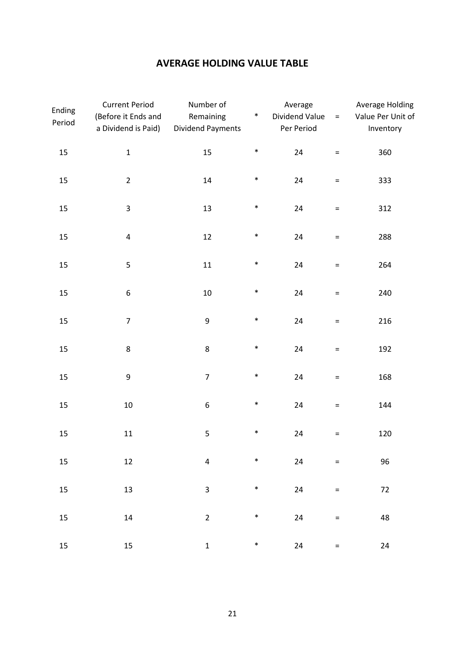# **AVERAGE HOLDING VALUE TABLE**

| Ending<br>Period | <b>Current Period</b><br>(Before it Ends and<br>a Dividend is Paid) | Number of<br>Remaining<br><b>Dividend Payments</b> | $\ast$ | Average<br>Dividend Value<br>Per Period | $=$ $\,$        | <b>Average Holding</b><br>Value Per Unit of<br>Inventory |
|------------------|---------------------------------------------------------------------|----------------------------------------------------|--------|-----------------------------------------|-----------------|----------------------------------------------------------|
| 15               | $\mathbf 1$                                                         | 15                                                 | $\ast$ | 24                                      | $=$             | 360                                                      |
| 15               | $\overline{2}$                                                      | 14                                                 | $\ast$ | 24                                      | $\equiv$        | 333                                                      |
| 15               | 3                                                                   | 13                                                 | $\ast$ | 24                                      | $\equiv$        | 312                                                      |
| 15               | $\pmb{4}$                                                           | 12                                                 | $\ast$ | 24                                      | $\equiv$        | 288                                                      |
| 15               | 5                                                                   | ${\bf 11}$                                         | $\ast$ | 24                                      | $\equiv$        | 264                                                      |
| 15               | 6                                                                   | $10\,$                                             | $\ast$ | 24                                      | $\equiv$        | 240                                                      |
| 15               | $\overline{7}$                                                      | 9                                                  | $\ast$ | 24                                      | $\equiv$        | 216                                                      |
| 15               | $\bf 8$                                                             | 8                                                  | $\ast$ | 24                                      | $\equiv$        | 192                                                      |
| 15               | $\boldsymbol{9}$                                                    | $\overline{7}$                                     | $\ast$ | 24                                      | $\equiv$        | 168                                                      |
| 15               | $10\,$                                                              | 6                                                  | $\ast$ | 24                                      | $=$             | 144                                                      |
| 15               | $11\,$                                                              | 5                                                  | $\ast$ | 24                                      | $\quad \  \  =$ | 120                                                      |
| 15               | $12\,$                                                              | $\overline{\mathbf{4}}$                            | $\ast$ | 24                                      | $=$             | 96                                                       |
| 15               | 13                                                                  | 3                                                  | $\ast$ | 24                                      | $\quad \  \  =$ | 72                                                       |
| 15               | $14\,$                                                              | $\overline{2}$                                     | $\ast$ | 24                                      | $\quad \  \  =$ | 48                                                       |
| 15               | $15\,$                                                              | $\mathbf{1}$                                       | $\ast$ | 24                                      | $\quad =$       | 24                                                       |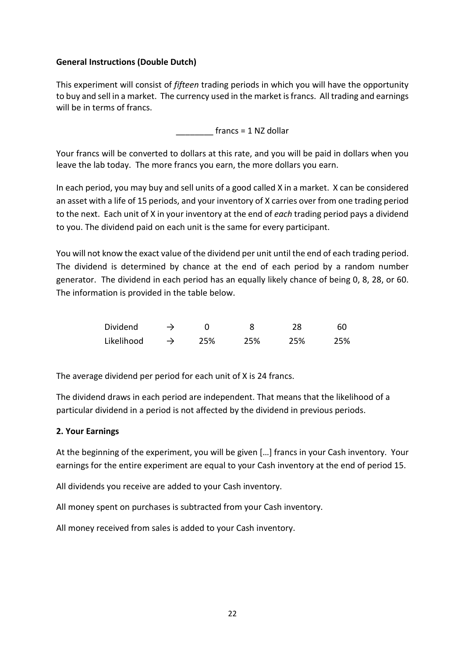# **General Instructions (Double Dutch)**

This experiment will consist of *fifteen* trading periods in which you will have the opportunity to buy and sell in a market. The currency used in the market is francs. All trading and earnings will be in terms of francs.

 ${\rm francs} = 1$  NZ dollar

Your francs will be converted to dollars at this rate, and you will be paid in dollars when you leave the lab today. The more francs you earn, the more dollars you earn.

In each period, you may buy and sell units of a good called X in a market. X can be considered an asset with a life of 15 periods, and your inventory of X carries over from one trading period to the next. Each unit of X in your inventory at the end of *each* trading period pays a dividend to you. The dividend paid on each unit is the same for every participant.

You will not know the exact value of the dividend per unit until the end of each trading period. The dividend is determined by chance at the end of each period by a random number generator. The dividend in each period has an equally likely chance of being 0, 8, 28, or 60. The information is provided in the table below.

| Dividend   |     |     |     | 60  |
|------------|-----|-----|-----|-----|
| Likelihood | 25% | 25% | 25% | 25% |

The average dividend per period for each unit of X is 24 francs.

The dividend draws in each period are independent. That means that the likelihood of a particular dividend in a period is not affected by the dividend in previous periods.

# **2. Your Earnings**

At the beginning of the experiment, you will be given […] francs in your Cash inventory. Your earnings for the entire experiment are equal to your Cash inventory at the end of period 15.

All dividends you receive are added to your Cash inventory.

All money spent on purchases is subtracted from your Cash inventory.

All money received from sales is added to your Cash inventory.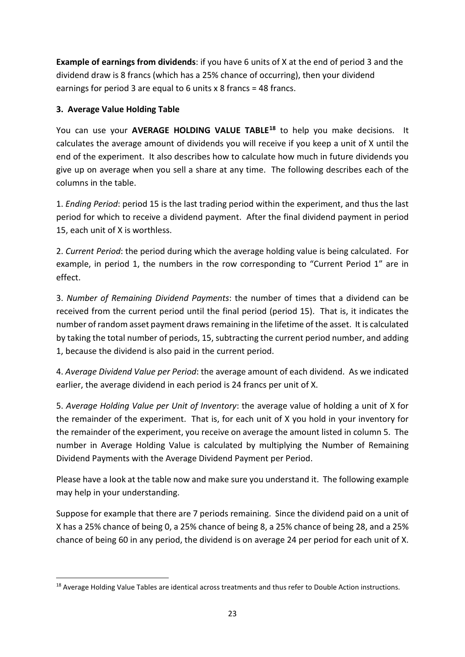**Example of earnings from dividends**: if you have 6 units of X at the end of period 3 and the dividend draw is 8 francs (which has a 25% chance of occurring), then your dividend earnings for period 3 are equal to 6 units x 8 francs = 48 francs.

# **3. Average Value Holding Table**

You can use your **AVERAGE HOLDING VALUE TABLE[18](#page-23-0)** to help you make decisions. It calculates the average amount of dividends you will receive if you keep a unit of X until the end of the experiment. It also describes how to calculate how much in future dividends you give up on average when you sell a share at any time. The following describes each of the columns in the table.

1. *Ending Period*: period 15 is the last trading period within the experiment, and thus the last period for which to receive a dividend payment. After the final dividend payment in period 15, each unit of X is worthless.

2. *Current Period*: the period during which the average holding value is being calculated. For example, in period 1, the numbers in the row corresponding to "Current Period 1" are in effect.

3. *Number of Remaining Dividend Payments*: the number of times that a dividend can be received from the current period until the final period (period 15). That is, it indicates the number of random asset payment draws remaining in the lifetime of the asset. It is calculated by taking the total number of periods, 15, subtracting the current period number, and adding 1, because the dividend is also paid in the current period.

4. *Average Dividend Value per Period*: the average amount of each dividend. As we indicated earlier, the average dividend in each period is 24 francs per unit of X.

5. *Average Holding Value per Unit of Inventory*: the average value of holding a unit of X for the remainder of the experiment. That is, for each unit of X you hold in your inventory for the remainder of the experiment, you receive on average the amount listed in column 5. The number in Average Holding Value is calculated by multiplying the Number of Remaining Dividend Payments with the Average Dividend Payment per Period.

Please have a look at the table now and make sure you understand it. The following example may help in your understanding.

Suppose for example that there are 7 periods remaining. Since the dividend paid on a unit of X has a 25% chance of being 0, a 25% chance of being 8, a 25% chance of being 28, and a 25% chance of being 60 in any period, the dividend is on average 24 per period for each unit of X.

<span id="page-23-0"></span><sup>&</sup>lt;sup>18</sup> Average Holding Value Tables are identical across treatments and thus refer to Double Action instructions.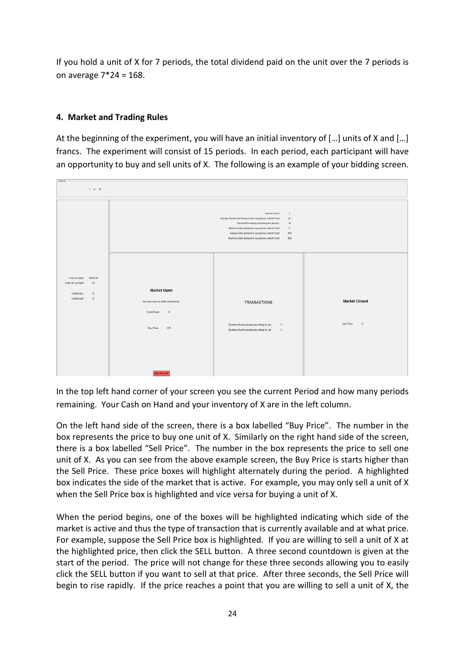If you hold a unit of X for 7 periods, the total dividend paid on the unit over the 7 periods is on average 7\*24 = 168.

# **4. Market and Trading Rules**

At the beginning of the experiment, you will have an initial inventory of […] units of X and […] francs. The experiment will consist of 15 periods. In each period, each participant will have an opportunity to buy and sell units of X. The following is an example of your bidding screen.



In the top left hand corner of your screen you see the current Period and how many periods remaining. Your Cash on Hand and your inventory of X are in the left column.

On the left hand side of the screen, there is a box labelled "Buy Price". The number in the box represents the price to buy one unit of X. Similarly on the right hand side of the screen, there is a box labelled "Sell Price". The number in the box represents the price to sell one unit of X. As you can see from the above example screen, the Buy Price is starts higher than the Sell Price. These price boxes will highlight alternately during the period. A highlighted box indicates the side of the market that is active. For example, you may only sell a unit of X when the Sell Price box is highlighted and vice versa for buying a unit of X.

When the period begins, one of the boxes will be highlighted indicating which side of the market is active and thus the type of transaction that is currently available and at what price. For example, suppose the Sell Price box is highlighted. If you are willing to sell a unit of X at the highlighted price, then click the SELL button. A three second countdown is given at the start of the period. The price will not change for these three seconds allowing you to easily click the SELL button if you want to sell at that price. After three seconds, the Sell Price will begin to rise rapidly. If the price reaches a point that you are willing to sell a unit of X, the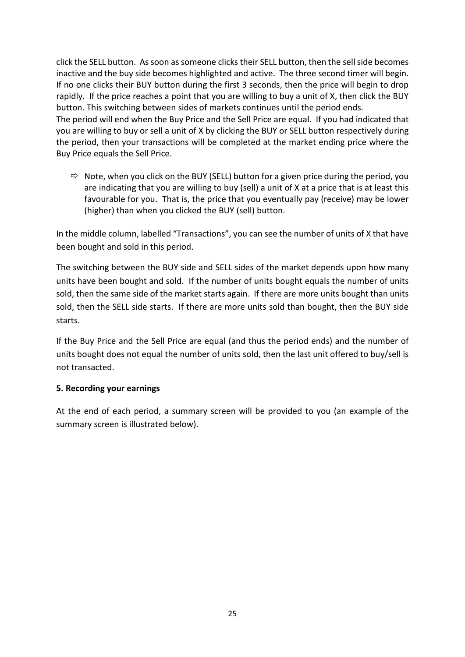click the SELL button. As soon as someone clicks their SELL button, then the sell side becomes inactive and the buy side becomes highlighted and active. The three second timer will begin. If no one clicks their BUY button during the first 3 seconds, then the price will begin to drop rapidly. If the price reaches a point that you are willing to buy a unit of X, then click the BUY button. This switching between sides of markets continues until the period ends. The period will end when the Buy Price and the Sell Price are equal. If you had indicated that you are willing to buy or sell a unit of X by clicking the BUY or SELL button respectively during the period, then your transactions will be completed at the market ending price where the Buy Price equals the Sell Price.

 $\Rightarrow$  Note, when you click on the BUY (SELL) button for a given price during the period, you are indicating that you are willing to buy (sell) a unit of X at a price that is at least this favourable for you. That is, the price that you eventually pay (receive) may be lower (higher) than when you clicked the BUY (sell) button.

In the middle column, labelled "Transactions", you can see the number of units of X that have been bought and sold in this period.

The switching between the BUY side and SELL sides of the market depends upon how many units have been bought and sold. If the number of units bought equals the number of units sold, then the same side of the market starts again. If there are more units bought than units sold, then the SELL side starts. If there are more units sold than bought, then the BUY side starts.

If the Buy Price and the Sell Price are equal (and thus the period ends) and the number of units bought does not equal the number of units sold, then the last unit offered to buy/sell is not transacted.

# **5. Recording your earnings**

At the end of each period, a summary screen will be provided to you (an example of the summary screen is illustrated below).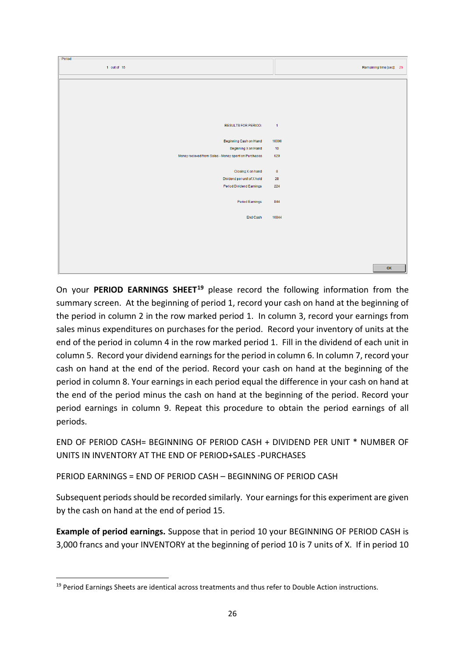| Period                                               |                          |  |
|------------------------------------------------------|--------------------------|--|
| 1 out of 15                                          | Remaining time [sec]: 26 |  |
|                                                      |                          |  |
|                                                      |                          |  |
|                                                      |                          |  |
|                                                      |                          |  |
|                                                      |                          |  |
|                                                      |                          |  |
| <b>RESULTS FOR PERIOD:</b>                           | $\blacksquare$           |  |
|                                                      |                          |  |
| Beginning Cash on Hand                               | 10000                    |  |
| Beginning X on Hand                                  | 10 <sub>1</sub>          |  |
| Money recieved from Sales - Money spent on Purchases | 620                      |  |
|                                                      |                          |  |
| Closing X on hand                                    | $\boldsymbol{8}$         |  |
| Dividend per unit of X held                          | 28                       |  |
| Period Dividend Earnings                             | 224                      |  |
|                                                      |                          |  |
| Period Earnings                                      | 844                      |  |
|                                                      |                          |  |
| End Cash                                             | 10844                    |  |
|                                                      |                          |  |
|                                                      |                          |  |
|                                                      |                          |  |
|                                                      |                          |  |
|                                                      |                          |  |
|                                                      |                          |  |
|                                                      | OK                       |  |

On your **PERIOD EARNINGS SHEET[19](#page-26-0)** please record the following information from the summary screen. At the beginning of period 1, record your cash on hand at the beginning of the period in column 2 in the row marked period 1. In column 3, record your earnings from sales minus expenditures on purchases for the period. Record your inventory of units at the end of the period in column 4 in the row marked period 1. Fill in the dividend of each unit in column 5. Record your dividend earnings for the period in column 6. In column 7, record your cash on hand at the end of the period. Record your cash on hand at the beginning of the period in column 8. Your earnings in each period equal the difference in your cash on hand at the end of the period minus the cash on hand at the beginning of the period. Record your period earnings in column 9. Repeat this procedure to obtain the period earnings of all periods.

END OF PERIOD CASH= BEGINNING OF PERIOD CASH + DIVIDEND PER UNIT \* NUMBER OF UNITS IN INVENTORY AT THE END OF PERIOD+SALES -PURCHASES

PERIOD EARNINGS = END OF PERIOD CASH – BEGINNING OF PERIOD CASH

Subsequent periods should be recorded similarly. Your earnings for this experiment are given by the cash on hand at the end of period 15.

**Example of period earnings.** Suppose that in period 10 your BEGINNING OF PERIOD CASH is 3,000 francs and your INVENTORY at the beginning of period 10 is 7 units of X. If in period 10

<span id="page-26-0"></span><sup>&</sup>lt;sup>19</sup> Period Earnings Sheets are identical across treatments and thus refer to Double Action instructions.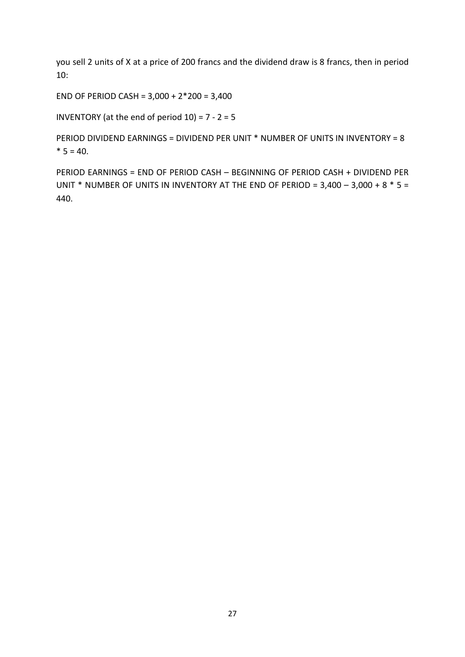you sell 2 units of X at a price of 200 francs and the dividend draw is 8 francs, then in period 10:

END OF PERIOD CASH = 3,000 + 2\*200 = 3,400

INVENTORY (at the end of period  $10$ ) = 7 - 2 = 5

PERIOD DIVIDEND EARNINGS = DIVIDEND PER UNIT \* NUMBER OF UNITS IN INVENTORY = 8  $* 5 = 40.$ 

PERIOD EARNINGS = END OF PERIOD CASH – BEGINNING OF PERIOD CASH + DIVIDEND PER UNIT  $*$  NUMBER OF UNITS IN INVENTORY AT THE END OF PERIOD = 3,400 - 3,000 + 8  $*$  5 = 440.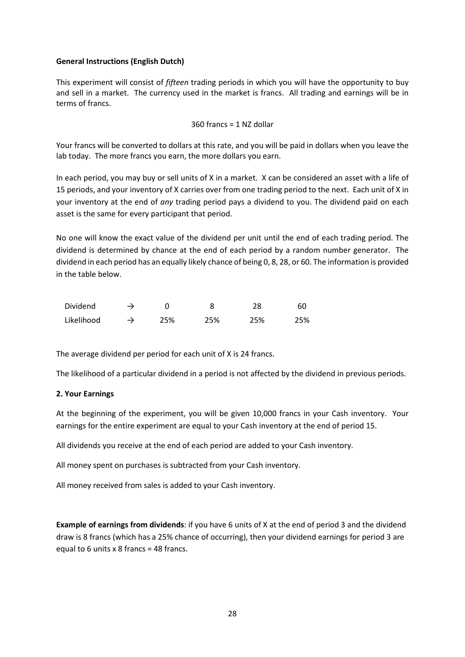#### **General Instructions (English Dutch)**

This experiment will consist of *fifteen* trading periods in which you will have the opportunity to buy and sell in a market. The currency used in the market is francs. All trading and earnings will be in terms of francs.

$$
360
$$
 francs = 1 NZ dollar

Your francs will be converted to dollars at this rate, and you will be paid in dollars when you leave the lab today. The more francs you earn, the more dollars you earn.

In each period, you may buy or sell units of X in a market. X can be considered an asset with a life of 15 periods, and your inventory of X carries over from one trading period to the next. Each unit of X in your inventory at the end of *any* trading period pays a dividend to you. The dividend paid on each asset is the same for every participant that period.

No one will know the exact value of the dividend per unit until the end of each trading period. The dividend is determined by chance at the end of each period by a random number generator. The dividend in each period has an equally likely chance of being 0, 8, 28, or 60. The information is provided in the table below.

| Dividend   |     |     | 28  | 60  |
|------------|-----|-----|-----|-----|
| Likelihood | 25% | 25% | 25% | 25% |

The average dividend per period for each unit of X is 24 francs.

The likelihood of a particular dividend in a period is not affected by the dividend in previous periods.

#### **2. Your Earnings**

At the beginning of the experiment, you will be given 10,000 francs in your Cash inventory. Your earnings for the entire experiment are equal to your Cash inventory at the end of period 15.

All dividends you receive at the end of each period are added to your Cash inventory.

All money spent on purchases is subtracted from your Cash inventory.

All money received from sales is added to your Cash inventory.

**Example of earnings from dividends**: if you have 6 units of X at the end of period 3 and the dividend draw is 8 francs (which has a 25% chance of occurring), then your dividend earnings for period 3 are equal to 6 units x 8 francs = 48 francs.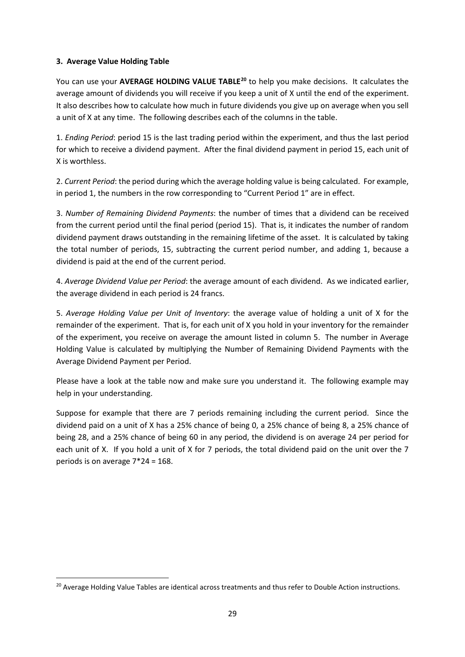#### **3. Average Value Holding Table**

You can use your **AVERAGE HOLDING VALUE TABLE[20](#page-29-0)** to help you make decisions. It calculates the average amount of dividends you will receive if you keep a unit of X until the end of the experiment. It also describes how to calculate how much in future dividends you give up on average when you sell a unit of X at any time. The following describes each of the columns in the table.

1. *Ending Period*: period 15 is the last trading period within the experiment, and thus the last period for which to receive a dividend payment. After the final dividend payment in period 15, each unit of X is worthless.

2. *Current Period*: the period during which the average holding value is being calculated. For example, in period 1, the numbers in the row corresponding to "Current Period 1" are in effect.

3. *Number of Remaining Dividend Payments*: the number of times that a dividend can be received from the current period until the final period (period 15). That is, it indicates the number of random dividend payment draws outstanding in the remaining lifetime of the asset. It is calculated by taking the total number of periods, 15, subtracting the current period number, and adding 1, because a dividend is paid at the end of the current period.

4. *Average Dividend Value per Period*: the average amount of each dividend. As we indicated earlier, the average dividend in each period is 24 francs.

5. *Average Holding Value per Unit of Inventory*: the average value of holding a unit of X for the remainder of the experiment. That is, for each unit of X you hold in your inventory for the remainder of the experiment, you receive on average the amount listed in column 5. The number in Average Holding Value is calculated by multiplying the Number of Remaining Dividend Payments with the Average Dividend Payment per Period.

Please have a look at the table now and make sure you understand it. The following example may help in your understanding.

Suppose for example that there are 7 periods remaining including the current period. Since the dividend paid on a unit of X has a 25% chance of being 0, a 25% chance of being 8, a 25% chance of being 28, and a 25% chance of being 60 in any period, the dividend is on average 24 per period for each unit of X. If you hold a unit of X for 7 periods, the total dividend paid on the unit over the 7 periods is on average 7\*24 = 168.

<span id="page-29-0"></span><sup>&</sup>lt;sup>20</sup> Average Holding Value Tables are identical across treatments and thus refer to Double Action instructions.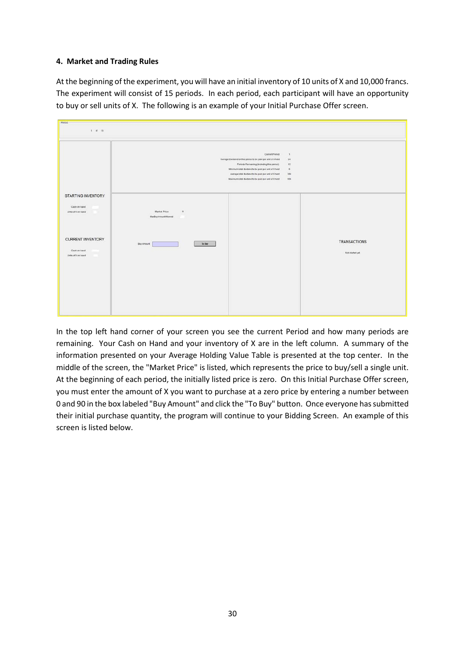#### **4. Market and Trading Rules**

At the beginning of the experiment, you will have an initial inventory of 10 units of X and 10,000 francs. The experiment will consist of 15 periods. In each period, each participant will have an opportunity to buy or sell units of X. The following is an example of your Initial Purchase Offer screen.

| Petod                                                          |                                                                                                                                                                                                                                                                                                        |                                                    |
|----------------------------------------------------------------|--------------------------------------------------------------------------------------------------------------------------------------------------------------------------------------------------------------------------------------------------------------------------------------------------------|----------------------------------------------------|
| 1 of 15                                                        |                                                                                                                                                                                                                                                                                                        |                                                    |
|                                                                |                                                                                                                                                                                                                                                                                                        |                                                    |
|                                                                | Current Period<br>Average Dividend for this period to be paid per unit of X held<br>Periods Remaining (including this period):<br>Minimum total dividend to be paid per unit of X held<br>Average total dividend to be paid per unit of X held<br>Maximum total dividend to be paid per unit of X held | $\mathbf{1}$<br>24<br>15<br>$\theta$<br>360<br>000 |
|                                                                |                                                                                                                                                                                                                                                                                                        |                                                    |
| STARTING INVENTORY<br>Cashon hand<br>Units of X on hand        | Market Price<br>$\sqrt{2}$<br>MaxBuyAmountAllowed                                                                                                                                                                                                                                                      |                                                    |
| <b>CURRENT INVENTORY</b><br>Cash on hand<br>Units of X on hand | To Bay<br>Buy Amount                                                                                                                                                                                                                                                                                   | <b>TRANSACTIONS</b><br>Not started yet.            |
|                                                                |                                                                                                                                                                                                                                                                                                        |                                                    |

In the top left hand corner of your screen you see the current Period and how many periods are remaining. Your Cash on Hand and your inventory of X are in the left column. A summary of the information presented on your Average Holding Value Table is presented at the top center. In the middle of the screen, the "Market Price" is listed, which represents the price to buy/sell a single unit. At the beginning of each period, the initially listed price is zero. On this Initial Purchase Offer screen, you must enter the amount of X you want to purchase at a zero price by entering a number between 0 and 90 in the box labeled "Buy Amount" and click the "To Buy" button. Once everyone has submitted their initial purchase quantity, the program will continue to your Bidding Screen. An example of this screen is listed below.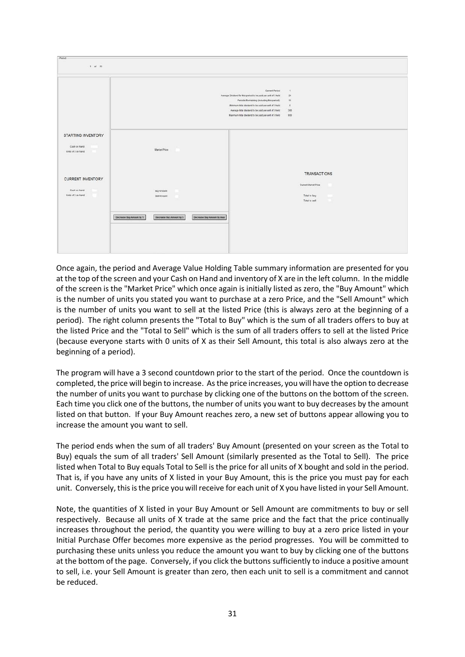| Penod<br>$1$ of $15$                                            |                                                                                    |                                                                                                                                                                                                                                                                                                        |                                                                              |  |
|-----------------------------------------------------------------|------------------------------------------------------------------------------------|--------------------------------------------------------------------------------------------------------------------------------------------------------------------------------------------------------------------------------------------------------------------------------------------------------|------------------------------------------------------------------------------|--|
|                                                                 |                                                                                    | Current Period<br>Average Dividend for this period to be paid per unit of X held<br>Periods Remaining (including this period):<br>Minimum total dividend to be poid per unit of X held<br>Average total dividend to be paid per unit of X held<br>Maximum total dividend to be paid per unit of X held | $-1$<br>24<br>15<br>$\circ$<br>360<br>900                                    |  |
| <b>STARTING INVENTORY</b><br>Cash on hand<br>Units of X on hand | Market Price                                                                       |                                                                                                                                                                                                                                                                                                        |                                                                              |  |
| <b>CURRENT INVENTORY</b><br>Cosh on hand<br>Units of X on hand  | Buy Arrount<br>Sell Amount                                                         |                                                                                                                                                                                                                                                                                                        | <b>TRANSACTIONS</b><br>Current Market Price<br>Total to buy<br>Total to sell |  |
|                                                                 | Decrease Day Amount by 1<br>Decrease Buy Amount by 5<br>Decrease Buy Amount by max |                                                                                                                                                                                                                                                                                                        |                                                                              |  |

Once again, the period and Average Value Holding Table summary information are presented for you at the top of the screen and your Cash on Hand and inventory of X are in the left column. In the middle of the screen is the "Market Price" which once again is initially listed as zero, the "Buy Amount" which is the number of units you stated you want to purchase at a zero Price, and the "Sell Amount" which is the number of units you want to sell at the listed Price (this is always zero at the beginning of a period). The right column presents the "Total to Buy" which is the sum of all traders offers to buy at the listed Price and the "Total to Sell" which is the sum of all traders offers to sell at the listed Price (because everyone starts with 0 units of X as their Sell Amount, this total is also always zero at the beginning of a period).

The program will have a 3 second countdown prior to the start of the period. Once the countdown is completed, the price will begin to increase. As the price increases, you will have the option to decrease the number of units you want to purchase by clicking one of the buttons on the bottom of the screen. Each time you click one of the buttons, the number of units you want to buy decreases by the amount listed on that button. If your Buy Amount reaches zero, a new set of buttons appear allowing you to increase the amount you want to sell.

The period ends when the sum of all traders' Buy Amount (presented on your screen as the Total to Buy) equals the sum of all traders' Sell Amount (similarly presented as the Total to Sell). The price listed when Total to Buy equals Total to Sell is the price for all units of X bought and sold in the period. That is, if you have any units of X listed in your Buy Amount, this is the price you must pay for each unit. Conversely, this is the price you will receive for each unit of X you have listed in your Sell Amount.

Note, the quantities of X listed in your Buy Amount or Sell Amount are commitments to buy or sell respectively. Because all units of X trade at the same price and the fact that the price continually increases throughout the period, the quantity you were willing to buy at a zero price listed in your Initial Purchase Offer becomes more expensive as the period progresses. You will be committed to purchasing these units unless you reduce the amount you want to buy by clicking one of the buttons at the bottom of the page. Conversely, if you click the buttons sufficiently to induce a positive amount to sell, i.e. your Sell Amount is greater than zero, then each unit to sell is a commitment and cannot be reduced.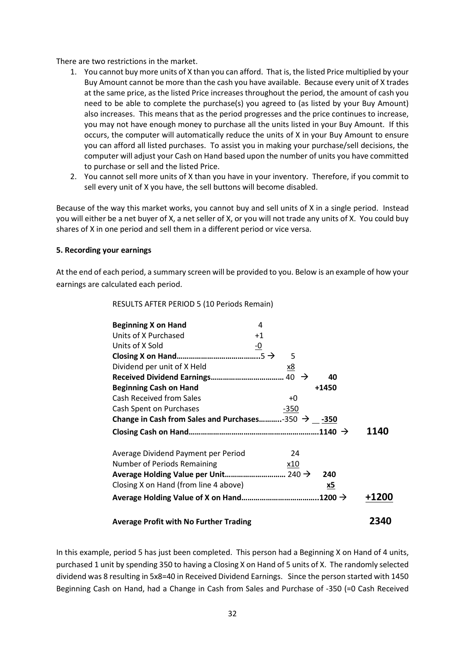There are two restrictions in the market.

- 1. You cannot buy more units of X than you can afford. That is, the listed Price multiplied by your Buy Amount cannot be more than the cash you have available. Because every unit of X trades at the same price, as the listed Price increases throughout the period, the amount of cash you need to be able to complete the purchase(s) you agreed to (as listed by your Buy Amount) also increases. This means that as the period progresses and the price continues to increase, you may not have enough money to purchase all the units listed in your Buy Amount. If this occurs, the computer will automatically reduce the units of X in your Buy Amount to ensure you can afford all listed purchases. To assist you in making your purchase/sell decisions, the computer will adjust your Cash on Hand based upon the number of units you have committed to purchase or sell and the listed Price.
- 2. You cannot sell more units of X than you have in your inventory. Therefore, if you commit to sell every unit of X you have, the sell buttons will become disabled.

Because of the way this market works, you cannot buy and sell units of X in a single period. Instead you will either be a net buyer of X, a net seller of X, or you will not trade any units of X. You could buy shares of X in one period and sell them in a different period or vice versa.

#### **5. Recording your earnings**

At the end of each period, a summary screen will be provided to you. Below is an example of how your earnings are calculated each period.

| <b>Beginning X on Hand</b>                                     | 4         |       |             |
|----------------------------------------------------------------|-----------|-------|-------------|
| Units of X Purchased                                           | $+1$      |       |             |
| Units of X Sold                                                | $-0$      |       |             |
|                                                                | 5         |       |             |
| Dividend per unit of X Held                                    | <u>x8</u> |       |             |
|                                                                |           | 40    |             |
| <b>Beginning Cash on Hand</b>                                  |           | +1450 |             |
| <b>Cash Received from Sales</b>                                | $+0$      |       |             |
| Cash Spent on Purchases                                        | $-350$    |       |             |
| Change in Cash from Sales and Purchases-350 $\rightarrow$ -350 |           |       |             |
|                                                                |           |       | <b>1140</b> |
| Average Dividend Payment per Period                            | 24        |       |             |
| Number of Periods Remaining                                    | x10       |       |             |
|                                                                |           | 240   |             |
| Closing X on Hand (from line 4 above)                          |           | х5    |             |
|                                                                |           |       | +1200       |
| <b>Average Profit with No Further Trading</b>                  |           |       | 2340        |

RESULTS AFTER PERIOD 5 (10 Periods Remain)

In this example, period 5 has just been completed. This person had a Beginning X on Hand of 4 units, purchased 1 unit by spending 350 to having a Closing X on Hand of 5 units of X. The randomly selected dividend was 8 resulting in 5x8=40 in Received Dividend Earnings. Since the person started with 1450 Beginning Cash on Hand, had a Change in Cash from Sales and Purchase of -350 (=0 Cash Received